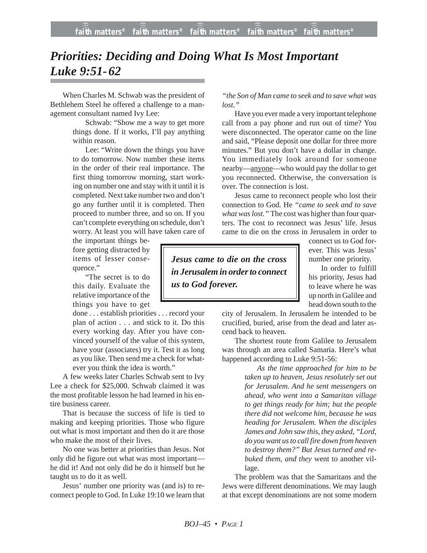## *Priorities: Deciding and Doing What Is Most Important Luke 9:51-62*

When Charles M. Schwab was the president of Bethlehem Steel he offered a challenge to a management consultant named Ivy Lee:

> Schwab: "Show me a way to get more things done. If it works, I'll pay anything within reason.

> Lee: "Write down the things you have to do tomorrow. Now number these items in the order of their real importance. The first thing tomorrow morning, start working on number one and stay with it until it is completed. Next take number two and don't go any further until it is completed. Then proceed to number three, and so on. If you can't complete everything on schedule, don't worry. At least you will have taken care of

the important things before getting distracted by items of lesser consequence."

"The secret is to do this daily. Evaluate the relative importance of the things you have to get

done . . . establish priorities . . . record your plan of action . . . and stick to it. Do this every working day. After you have convinced yourself of the value of this system, have your (associates) try it. Test it as long as you like. Then send me a check for whatever you think the idea is worth."

A few weeks later Charles Schwab sent to Ivy Lee a check for \$25,000. Schwab claimed it was the most profitable lesson he had learned in his entire business career.

That is because the success of life is tied to making and keeping priorities. Those who figure out what is most important and then do it are those who make the most of their lives.

No one was better at priorities than Jesus. Not only did he figure out what was most important he did it! And not only did he do it himself but he taught us to do it as well.

Jesus' number one priority was (and is) to reconnect people to God. In Luke 19:10 we learn that

*"the Son of Man came to seek and to save what was lost."*

Have you ever made a very important telephone call from a pay phone and run out of time? You were disconnected. The operator came on the line and said, "Please deposit one dollar for three more minutes." But you don't have a dollar in change. You immediately look around for someone nearby—anyone—who would pay the dollar to get you reconnected. Otherwise, the conversation is over. The connection is lost.

Jesus came to reconnect people who lost their connection to God. He *"came to seek and to save what was lost."* The cost was higher than four quarters. The cost to reconnect was Jesus' life. Jesus came to die on the cross in Jerusalem in order to

*Jesus came to die on the cross in Jerusalem in order to connect us to God forever.*

connect us to God forever. This was Jesus' number one priority.

In order to fulfill his priority, Jesus had to leave where he was up north in Galilee and head down south to the

city of Jerusalem. In Jerusalem he intended to be crucified, buried, arise from the dead and later ascend back to heaven.

The shortest route from Galilee to Jerusalem was through an area called Samaria. Here's what happened according to Luke 9:51-56:

> *As the time approached for him to be taken up to heaven, Jesus resolutely set out for Jerusalem. And he sent messengers on ahead, who went into a Samaritan village to get things ready for him; but the people there did not welcome him, because he was heading for Jerusalem. When the disciples James and John saw this, they asked, "Lord, do you want us to call fire down from heaven to destroy them?" But Jesus turned and rebuked them, and they* went to another village.

The problem was that the Samaritans and the Jews were different denominations. We may laugh at that except denominations are not some modern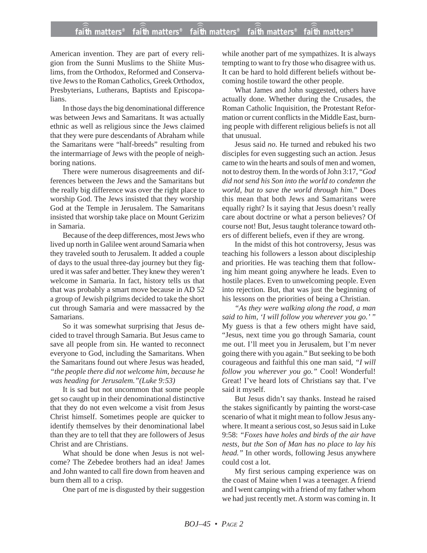## **faith matters® faith matters® faith matters® faith matters® faith matters®** ))) ))) ))) ))) )))

American invention. They are part of every religion from the Sunni Muslims to the Shiite Muslims, from the Orthodox, Reformed and Conservative Jews to the Roman Catholics, Greek Orthodox, Presbyterians, Lutherans, Baptists and Episcopalians.

In those days the big denominational difference was between Jews and Samaritans. It was actually ethnic as well as religious since the Jews claimed that they were pure descendants of Abraham while the Samaritans were "half-breeds" resulting from the intermarriage of Jews with the people of neighboring nations.

There were numerous disagreements and differences between the Jews and the Samaritans but the really big difference was over the right place to worship God. The Jews insisted that they worship God at the Temple in Jerusalem. The Samaritans insisted that worship take place on Mount Gerizim in Samaria.

Because of the deep differences, most Jews who lived up north in Galilee went around Samaria when they traveled south to Jerusalem. It added a couple of days to the usual three-day journey but they figured it was safer and better. They knew they weren't welcome in Samaria. In fact, history tells us that that was probably a smart move because in AD 52 a group of Jewish pilgrims decided to take the short cut through Samaria and were massacred by the Samarians.

So it was somewhat surprising that Jesus decided to travel through Samaria. But Jesus came to save all people from sin. He wanted to reconnect everyone to God, including the Samaritans. When the Samaritans found out where Jesus was headed, *"the people there did not welcome him, because he was heading for Jerusalem."(Luke 9:53)*

It is sad but not uncommon that some people get so caught up in their denominational distinctive that they do not even welcome a visit from Jesus Christ himself. Sometimes people are quicker to identify themselves by their denominational label than they are to tell that they are followers of Jesus Christ and are Christians.

What should be done when Jesus is not welcome? The Zebedee brothers had an idea! James and John wanted to call fire down from heaven and burn them all to a crisp.

One part of me is disgusted by their suggestion

while another part of me sympathizes. It is always tempting to want to fry those who disagree with us. It can be hard to hold different beliefs without becoming hostile toward the other people.

What James and John suggested, others have actually done. Whether during the Crusades, the Roman Catholic Inquisition, the Protestant Reformation or current conflicts in the Middle East, burning people with different religious beliefs is not all that unusual.

Jesus said *no*. He turned and rebuked his two disciples for even suggesting such an action. Jesus came to win the hearts and souls of men and women, not to destroy them. In the words of John 3:17, "*God did not send his Son into the world to condemn the world, but to save the world through him.*" Does this mean that both Jews and Samaritans were equally right? Is it saying that Jesus doesn't really care about doctrine or what a person believes? Of course not! But, Jesus taught tolerance toward others of different beliefs, even if they are wrong.

In the midst of this hot controversy, Jesus was teaching his followers a lesson about discipleship and priorities. He was teaching them that following him meant going anywhere he leads. Even to hostile places. Even to unwelcoming people. Even into rejection. But, that was just the beginning of his lessons on the priorities of being a Christian.

*"As they were walking along the road, a man said to him, 'I will follow you wherever you go.' "* My guess is that a few others might have said, "Jesus, next time you go through Samaria, count me out. I'll meet you in Jerusalem, but I'm never going there with you again." But seeking to be both courageous and faithful this one man said, *"I will follow you wherever you go."* Cool! Wonderful! Great! I've heard lots of Christians say that. I've said it myself.

But Jesus didn't say thanks. Instead he raised the stakes significantly by painting the worst-case scenario of what it might mean to follow Jesus anywhere. It meant a serious cost, so Jesus said in Luke 9:58: *"Foxes have holes and birds of the air have nests, but the Son of Man has no place to lay his head."* In other words, following Jesus anywhere could cost a lot.

My first serious camping experience was on the coast of Maine when I was a teenager. A friend and I went camping with a friend of my father whom we had just recently met. A storm was coming in. It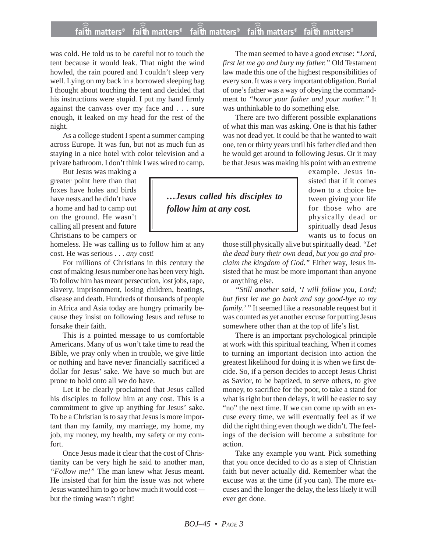## **faith matters® faith matters® faith matters® faith matters® faith matters®** ))) ))) ))) ))) )))

was cold. He told us to be careful not to touch the tent because it would leak. That night the wind howled, the rain poured and I couldn't sleep very well. Lying on my back in a borrowed sleeping bag I thought about touching the tent and decided that his instructions were stupid. I put my hand firmly against the canvass over my face and . . . sure enough, it leaked on my head for the rest of the night.

As a college student I spent a summer camping across Europe. It was fun, but not as much fun as staying in a nice hotel with color television and a private bathroom. I don't think I was wired to camp.

But Jesus was making a greater point here than that foxes have holes and birds have nests and he didn't have a home and had to camp out on the ground. He wasn't calling all present and future Christians to be campers or

homeless. He was calling us to follow him at any cost. He was serious . . . *any* cost!

For millions of Christians in this century the cost of making Jesus number one has been very high. To follow him has meant persecution, lost jobs, rape, slavery, imprisonment, losing children, beatings, disease and death. Hundreds of thousands of people in Africa and Asia today are hungry primarily because they insist on following Jesus and refuse to forsake their faith.

This is a pointed message to us comfortable Americans. Many of us won't take time to read the Bible, we pray only when in trouble, we give little or nothing and have never financially sacrificed a dollar for Jesus' sake. We have so much but are prone to hold onto all we do have.

Let it be clearly proclaimed that Jesus called his disciples to follow him at any cost. This is a commitment to give up anything for Jesus' sake. To be a Christian is to say that Jesus is more important than my family, my marriage, my home, my job, my money, my health, my safety or my comfort.

Once Jesus made it clear that the cost of Christianity can be very high he said to another man, *"Follow me!"* The man knew what Jesus meant. He insisted that for him the issue was not where Jesus wanted him to go or how much it would cost but the timing wasn't right!

The man seemed to have a good excuse: *"Lord, first let me go and bury my father."* Old Testament law made this one of the highest responsibilities of every son. It was a very important obligation. Burial of one's father was a way of obeying the commandment to *"honor your father and your mother."* It was unthinkable to do something else.

There are two different possible explanations of what this man was asking. One is that his father was not dead yet. It could be that he wanted to wait one, ten or thirty years until his father died and then he would get around to following Jesus. Or it may be that Jesus was making his point with an extreme

*…Jesus called his disciples to follow him at any cost.*

example. Jesus insisted that if it comes down to a choice between giving your life for those who are physically dead or spiritually dead Jesus wants us to focus on

those still physically alive but spiritually dead. *"Let the dead bury their own dead, but you go and proclaim the kingdom of God."* Either way, Jesus insisted that he must be more important than anyone or anything else.

*"Still another said, 'I will follow you, Lord; but first let me go back and say good-bye to my family.' "* It seemed like a reasonable request but it was counted as yet another excuse for putting Jesus somewhere other than at the top of life's list.

There is an important psychological principle at work with this spiritual teaching. When it comes to turning an important decision into action the greatest likelihood for doing it is when we first decide. So, if a person decides to accept Jesus Christ as Savior, to be baptized, to serve others, to give money, to sacrifice for the poor, to take a stand for what is right but then delays, it will be easier to say "no" the next time. If we can come up with an excuse every time, we will eventually feel as if we did the right thing even though we didn't. The feelings of the decision will become a substitute for action.

Take any example you want. Pick something that you once decided to do as a step of Christian faith but never actually did. Remember what the excuse was at the time (if you can). The more excuses and the longer the delay, the less likely it will ever get done.